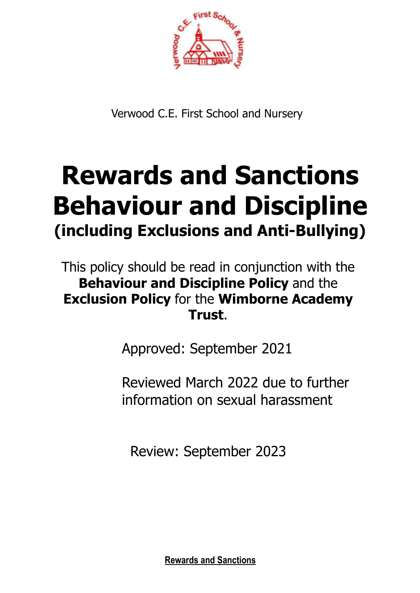

Verwood C.E. First School and Nursery

# **Rewards and Sanctions Behaviour and Discipline (including Exclusions and Anti-Bullying)**

This policy should be read in conjunction with the **Behaviour and Discipline Policy** and the **Exclusion Policy** for the **Wimborne Academy Trust**.

Approved: September 2021

Reviewed March 2022 due to further information on sexual harassment

Review: September 2023

**Rewards and Sanctions**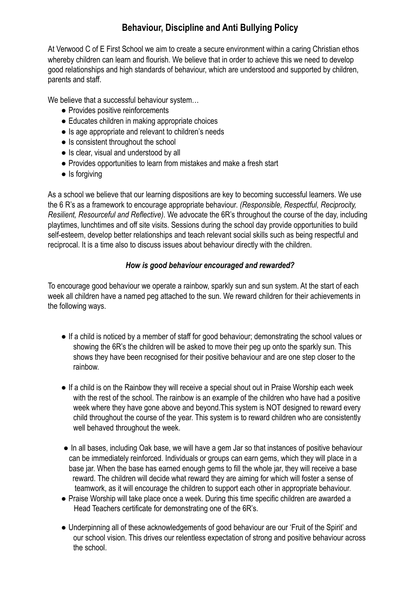# **Behaviour, Discipline and Anti Bullying Policy**

At Verwood C of E First School we aim to create a secure environment within a caring Christian ethos whereby children can learn and flourish. We believe that in order to achieve this we need to develop good relationships and high standards of behaviour, which are understood and supported by children, parents and staff.

We believe that a successful behaviour system…

- Provides positive reinforcements
- Educates children in making appropriate choices
- Is age appropriate and relevant to children's needs
- Is consistent throughout the school
- Is clear, visual and understood by all
- Provides opportunities to learn from mistakes and make a fresh start
- Is forgiving

As a school we believe that our learning dispositions are key to becoming successful learners. We use the 6 R's as a framework to encourage appropriate behaviour. *(Responsible, Respectful, Reciprocity, Resilient, Resourceful and Reflective).* We advocate the 6R's throughout the course of the day, including playtimes, lunchtimes and off site visits. Sessions during the school day provide opportunities to build self-esteem, develop better relationships and teach relevant social skills such as being respectful and reciprocal. It is a time also to discuss issues about behaviour directly with the children.

#### *How is good behaviour encouraged and rewarded?*

To encourage good behaviour we operate a rainbow, sparkly sun and sun system. At the start of each week all children have a named peg attached to the sun. We reward children for their achievements in the following ways.

- If a child is noticed by a member of staff for good behaviour; demonstrating the school values or showing the 6R's the children will be asked to move their peg up onto the sparkly sun. This shows they have been recognised for their positive behaviour and are one step closer to the rainbow.
- If a child is on the Rainbow they will receive a special shout out in Praise Worship each week with the rest of the school. The rainbow is an example of the children who have had a positive week where they have gone above and beyond.This system is NOT designed to reward every child throughout the course of the year. This system is to reward children who are consistently well behaved throughout the week.
- In all bases, including Oak base, we will have a gem Jar so that instances of positive behaviour can be immediately reinforced. Individuals or groups can earn gems, which they will place in a base jar. When the base has earned enough gems to fill the whole jar, they will receive a base reward. The children will decide what reward they are aiming for which will foster a sense of teamwork, as it will encourage the children to support each other in appropriate behaviour.
- Praise Worship will take place once a week. During this time specific children are awarded a Head Teachers certificate for demonstrating one of the 6R's.
- Underpinning all of these acknowledgements of good behaviour are our 'Fruit of the Spirit' and our school vision. This drives our relentless expectation of strong and positive behaviour across the school.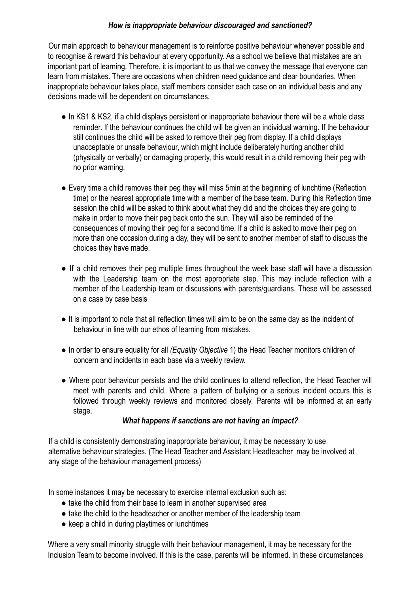#### *How is inappropriate behaviour discouraged and sanctioned?*

Our main approach to behaviour management is to reinforce positive behaviour whenever possible and to recognise & reward this behaviour at every opportunity. As a school we believe that mistakes are an important part of learning. Therefore, it is important to us that we convey the message that everyone can learn from mistakes. There are occasions when children need guidance and clear boundaries. When inappropriate behaviour takes place, staff members consider each case on an individual basis and any decisions made will be dependent on circumstances.

- In KS1 & KS2, if a child displays persistent or inappropriate behaviour there will be a whole class reminder. If the behaviour continues the child will be given an individual warning. If the behaviour still continues the child will be asked to remove their peg from display. If a child displays unacceptable or unsafe behaviour, which might include deliberately hurting another child (physically or verbally) or damaging property, this would result in a child removing their peg with no prior warning.
- Every time a child removes their peg they will miss 5min at the beginning of lunchtime (Reflection time) or the nearest appropriate time with a member of the base team. During this Reflection time session the child will be asked to think about what they did and the choices they are going to make in order to move their peg back onto the sun. They will also be reminded of the consequences of moving their peg for a second time. If a child is asked to move their peg on more than one occasion during a day, they will be sent to another member of staff to discuss the choices they have made.
- If a child removes their peg multiple times throughout the week base staff will have a discussion with the Leadership team on the most appropriate step. This may include reflection with a member of the Leadership team or discussions with parents/guardians. These will be assessed on a case by case basis
- It is important to note that all reflection times will aim to be on the same day as the incident of behaviour in line with our ethos of learning from mistakes.
- In order to ensure equality for all *(Equality Objective* 1) the Head Teacher monitors children of concern and incidents in each base via a weekly review.
- Where poor behaviour persists and the child continues to attend reflection, the Head Teacher will meet with parents and child. Where a pattern of bullying or a serious incident occurs this is followed through weekly reviews and monitored closely. Parents will be informed at an early stage.

## *What happens if sanctions are not having an impact?*

If a child is consistently demonstrating inappropriate behaviour, it may be necessary to use alternative behaviour strategies. (The Head Teacher and Assistant Headteacher may be involved at any stage of the behaviour management process)

In some instances it may be necessary to exercise internal exclusion such as:

- take the child from their base to learn in another supervised area
- take the child to the headteacher or another member of the leadership team
- keep a child in during playtimes or lunchtimes

Where a very small minority struggle with their behaviour management, it may be necessary for the Inclusion Team to become involved. If this is the case, parents will be informed. In these circumstances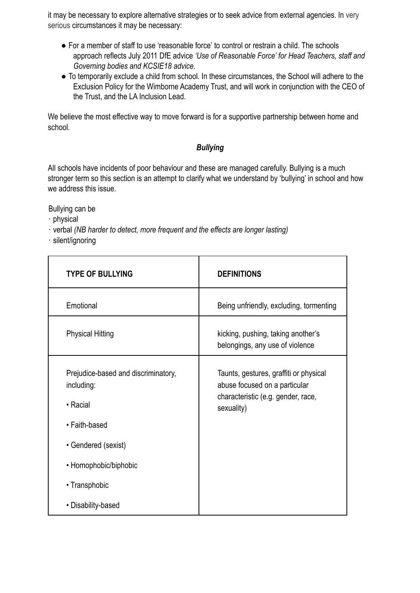it may be necessary to explore alternative strategies or to seek advice from external agencies. In very serious circumstances it may be necessary:

- For a member of staff to use 'reasonable force' to control or restrain a child. The schools approach reflects July 2011 DfE advice *'Use of Reasonable Force' for Head Teachers, staff and Governing bodies and KCSIE18 advice.*
- To temporarily exclude a child from school. In these circumstances, the School will adhere to the Exclusion Policy for the Wimborne Academy Trust, and will work in conjunction with the CEO of the Trust, and the LA Inclusion Lead.

We believe the most effective way to move forward is for a supportive partnership between home and school.

## *Bullying*

All schools have incidents of poor behaviour and these are managed carefully. Bullying is a much stronger term so this section is an attempt to clarify what we understand by 'bullying' in school and how we address this issue.

Bullying can be

- ∙ physical
- ∙ verbal *(NB harder to detect, more frequent and the effects are longer lasting)*
- ∙ silent/ignoring

| <b>TYPE OF BULLYING</b>                                                                                                                                               | <b>DEFINITIONS</b>                                                                                                          |
|-----------------------------------------------------------------------------------------------------------------------------------------------------------------------|-----------------------------------------------------------------------------------------------------------------------------|
| Emotional                                                                                                                                                             | Being unfriendly, excluding, tormenting                                                                                     |
| <b>Physical Hitting</b>                                                                                                                                               | kicking, pushing, taking another's<br>belongings, any use of violence                                                       |
| Prejudice-based and discriminatory,<br>including:<br>• Racial<br>• Faith-based<br>• Gendered (sexist)<br>• Homophobic/biphobic<br>• Transphobic<br>• Disability-based | Taunts, gestures, graffiti or physical<br>abuse focused on a particular<br>characteristic (e.g. gender, race,<br>sexuality) |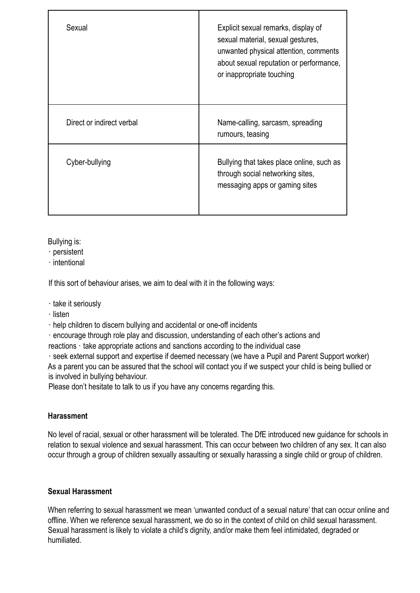| Sexual                    | Explicit sexual remarks, display of<br>sexual material, sexual gestures,<br>unwanted physical attention, comments<br>about sexual reputation or performance,<br>or inappropriate touching |
|---------------------------|-------------------------------------------------------------------------------------------------------------------------------------------------------------------------------------------|
| Direct or indirect verbal | Name-calling, sarcasm, spreading<br>rumours, teasing                                                                                                                                      |
| Cyber-bullying            | Bullying that takes place online, such as<br>through social networking sites,<br>messaging apps or gaming sites                                                                           |

Bullying is:

- ∙ persistent
- ∙ intentional

If this sort of behaviour arises, we aim to deal with it in the following ways:

- ∙ take it seriously
- ∙ listen

∙ help children to discern bullying and accidental or one-off incidents

∙ encourage through role play and discussion, understanding of each other's actions and

reactions ∙ take appropriate actions and sanctions according to the individual case

∙ seek external support and expertise if deemed necessary (we have a Pupil and Parent Support worker) As a parent you can be assured that the school will contact you if we suspect your child is being bullied or is involved in bullying behaviour.

Please don't hesitate to talk to us if you have any concerns regarding this.

# **Harassment**

No level of racial, sexual or other harassment will be tolerated. The DfE introduced new guidance for schools in relation to sexual violence and sexual harassment. This can occur between two children of any sex. It can also occur through a group of children sexually assaulting or sexually harassing a single child or group of children.

## **Sexual Harassment**

When referring to sexual harassment we mean 'unwanted conduct of a sexual nature' that can occur online and offline. When we reference sexual harassment, we do so in the context of child on child sexual harassment. Sexual harassment is likely to violate a child's dignity, and/or make them feel intimidated, degraded or humiliated.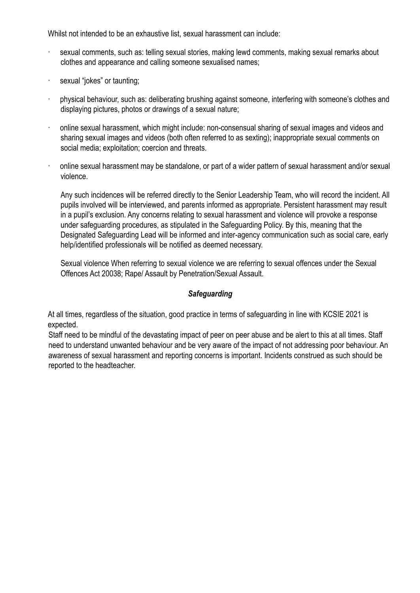Whilst not intended to be an exhaustive list, sexual harassment can include:

- sexual comments, such as: telling sexual stories, making lewd comments, making sexual remarks about clothes and appearance and calling someone sexualised names;
- sexual "jokes" or taunting;
- · physical behaviour, such as: deliberating brushing against someone, interfering with someone's clothes and displaying pictures, photos or drawings of a sexual nature;
- · online sexual harassment, which might include: non-consensual sharing of sexual images and videos and sharing sexual images and videos (both often referred to as sexting); inappropriate sexual comments on social media; exploitation; coercion and threats.
- · online sexual harassment may be standalone, or part of a wider pattern of sexual harassment and/or sexual violence.

Any such incidences will be referred directly to the Senior Leadership Team, who will record the incident. All pupils involved will be interviewed, and parents informed as appropriate. Persistent harassment may result in a pupil's exclusion. Any concerns relating to sexual harassment and violence will provoke a response under safeguarding procedures, as stipulated in the Safeguarding Policy. By this, meaning that the Designated Safeguarding Lead will be informed and inter-agency communication such as social care, early help/identified professionals will be notified as deemed necessary.

Sexual violence When referring to sexual violence we are referring to sexual offences under the Sexual Offences Act 20038; Rape/ Assault by Penetration/Sexual Assault.

#### *Safeguarding*

At all times, regardless of the situation, good practice in terms of safeguarding in line with KCSIE 2021 is expected.

Staff need to be mindful of the devastating impact of peer on peer abuse and be alert to this at all times. Staff need to understand unwanted behaviour and be very aware of the impact of not addressing poor behaviour. An awareness of sexual harassment and reporting concerns is important. Incidents construed as such should be reported to the headteacher.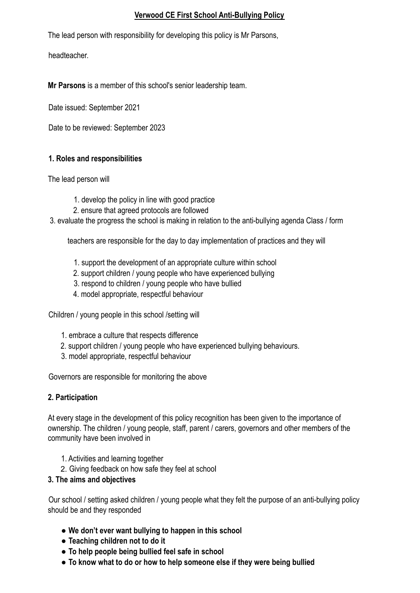#### **Verwood CE First School Anti-Bullying Policy**

The lead person with responsibility for developing this policy is Mr Parsons,

headteacher.

**Mr Parsons** is a member of this school's senior leadership team.

Date issued: September 2021

Date to be reviewed: September 2023

## **1. Roles and responsibilities**

The lead person will

- 1. develop the policy in line with good practice
- 2. ensure that agreed protocols are followed
- 3. evaluate the progress the school is making in relation to the anti-bullying agenda Class / form

teachers are responsible for the day to day implementation of practices and they will

- 1. support the development of an appropriate culture within school
- 2. support children / young people who have experienced bullying
- 3. respond to children / young people who have bullied
- 4. model appropriate, respectful behaviour

Children / young people in this school /setting will

- 1. embrace a culture that respects difference
- 2. support children / young people who have experienced bullying behaviours.
- 3. model appropriate, respectful behaviour

Governors are responsible for monitoring the above

# **2. Participation**

At every stage in the development of this policy recognition has been given to the importance of ownership. The children / young people, staff, parent / carers, governors and other members of the community have been involved in

- 1. Activities and learning together
- 2. Giving feedback on how safe they feel at school

## **3. The aims and objectives**

Our school / setting asked children / young people what they felt the purpose of an anti-bullying policy should be and they responded

- **We don't ever want bullying to happen in this school**
- **Teaching children not to do it**
- **To help people being bullied feel safe in school**
- **To know what to do or how to help someone else if they were being bullied**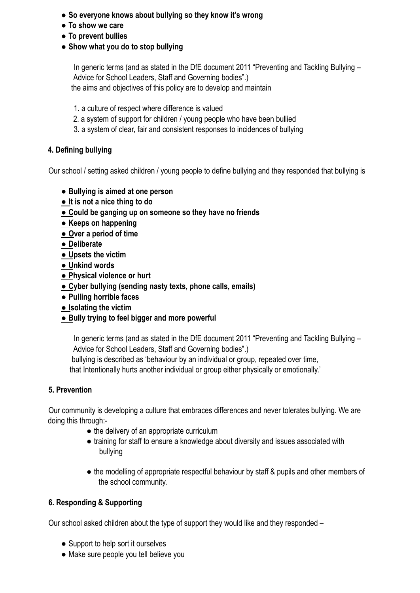- **So everyone knows about bullying so they know it's wrong**
- **To show we care**
- **To prevent bullies**
- **Show what you do to stop bullying**

In generic terms (and as stated in the DfE document 2011 "Preventing and Tackling Bullying – Advice for School Leaders, Staff and Governing bodies".) the aims and objectives of this policy are to develop and maintain

- 1. a culture of respect where difference is valued
- 2. a system of support for children / young people who have been bullied
- 3. a system of clear, fair and consistent responses to incidences of bullying

# **4. Defining bullying**

Our school / setting asked children / young people to define bullying and they responded that bullying is

- **Bullying is aimed at one person**
- **It is not a nice thing to do**
- **Could be ganging up on someone so they have no friends**
- **Keeps on happening**
- **Over a period of time**
- **Deliberate**
- **Upsets the victim**
- **Unkind words**
- **Physical violence or hurt**
- **Cyber bullying (sending nasty texts, phone calls, emails)**
- **Pulling horrible faces**
- **Isolating the victim**
- **Bully trying to feel bigger and more powerful**

In generic terms (and as stated in the DfE document 2011 "Preventing and Tackling Bullying – Advice for School Leaders, Staff and Governing bodies".) bullying is described as 'behaviour by an individual or group, repeated over time,

that Intentionally hurts another individual or group either physically or emotionally.'

# **5. Prevention**

Our community is developing a culture that embraces differences and never tolerates bullying. We are doing this through:-

- the delivery of an appropriate curriculum
- training for staff to ensure a knowledge about diversity and issues associated with bullying
- the modelling of appropriate respectful behaviour by staff & pupils and other members of the school community.

# **6. Responding & Supporting**

Our school asked children about the type of support they would like and they responded –

- Support to help sort it ourselves
- Make sure people you tell believe you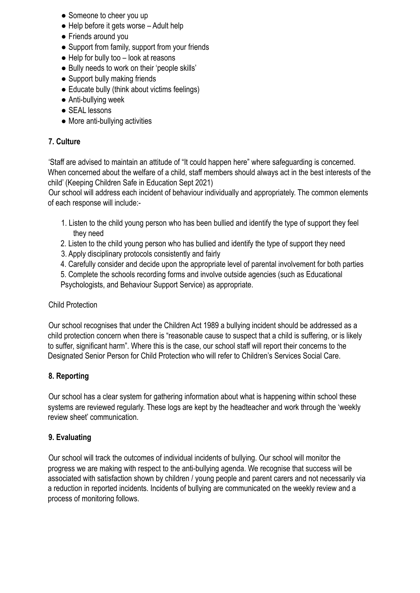- Someone to cheer you up
- $\bullet$  Help before it gets worse Adult help
- Friends around you
- Support from family, support from your friends
- $\bullet$  Help for bully too  $-$  look at reasons
- Bully needs to work on their 'people skills'
- Support bully making friends
- Educate bully (think about victims feelings)
- Anti-bullying week
- SEAL lessons
- More anti-bullying activities

#### **7. Culture**

'Staff are advised to maintain an attitude of "It could happen here" where safeguarding is concerned. When concerned about the welfare of a child, staff members should always act in the best interests of the child' (Keeping Children Safe in Education Sept 2021)

Our school will address each incident of behaviour individually and appropriately. The common elements of each response will include:-

- 1. Listen to the child young person who has been bullied and identify the type of support they feel they need
- 2. Listen to the child young person who has bullied and identify the type of support they need
- 3. Apply disciplinary protocols consistently and fairly
- 4. Carefully consider and decide upon the appropriate level of parental involvement for both parties
- 5. Complete the schools recording forms and involve outside agencies (such as Educational Psychologists, and Behaviour Support Service) as appropriate.

#### Child Protection

Our school recognises that under the Children Act 1989 a bullying incident should be addressed as a child protection concern when there is "reasonable cause to suspect that a child is suffering, or is likely to suffer, significant harm". Where this is the case, our school staff will report their concerns to the Designated Senior Person for Child Protection who will refer to Children's Services Social Care.

## **8. Reporting**

Our school has a clear system for gathering information about what is happening within school these systems are reviewed regularly. These logs are kept by the headteacher and work through the 'weekly review sheet' communication.

#### **9. Evaluating**

Our school will track the outcomes of individual incidents of bullying. Our school will monitor the progress we are making with respect to the anti-bullying agenda. We recognise that success will be associated with satisfaction shown by children / young people and parent carers and not necessarily via a reduction in reported incidents. Incidents of bullying are communicated on the weekly review and a process of monitoring follows.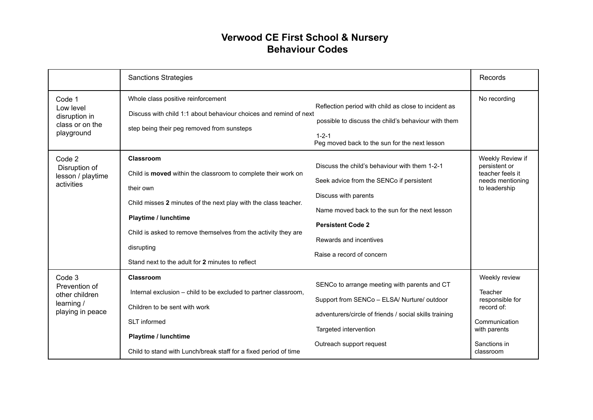# **Verwood CE First School & Nursery Behaviour Codes**

|                                                                             | <b>Sanctions Strategies</b>                                                                                                                                                                                                                                                                                            |                                                                                                                                                                                                                                                        | Records                                                                                                                 |
|-----------------------------------------------------------------------------|------------------------------------------------------------------------------------------------------------------------------------------------------------------------------------------------------------------------------------------------------------------------------------------------------------------------|--------------------------------------------------------------------------------------------------------------------------------------------------------------------------------------------------------------------------------------------------------|-------------------------------------------------------------------------------------------------------------------------|
| Code 1<br>Low level<br>disruption in<br>class or on the<br>playground       | Whole class positive reinforcement<br>Discuss with child 1:1 about behaviour choices and remind of next<br>step being their peg removed from sunsteps                                                                                                                                                                  | Reflection period with child as close to incident as<br>possible to discuss the child's behaviour with them<br>$1 - 2 - 1$<br>Peg moved back to the sun for the next lesson                                                                            | No recording                                                                                                            |
| Code 2<br>Disruption of<br>lesson / playtime<br>activities                  | Classroom<br>Child is moved within the classroom to complete their work on<br>their own<br>Child misses 2 minutes of the next play with the class teacher.<br>Playtime / lunchtime<br>Child is asked to remove themselves from the activity they are<br>disrupting<br>Stand next to the adult for 2 minutes to reflect | Discuss the child's behaviour with them 1-2-1<br>Seek advice from the SENCo if persistent<br>Discuss with parents<br>Name moved back to the sun for the next lesson<br><b>Persistent Code 2</b><br>Rewards and incentives<br>Raise a record of concern | Weekly Review if<br>persistent or<br>teacher feels it<br>needs mentioning<br>to leadership                              |
| Code 3<br>Prevention of<br>other children<br>learning /<br>playing in peace | <b>Classroom</b><br>Internal exclusion - child to be excluded to partner classroom,<br>Children to be sent with work<br>SLT informed<br>Playtime / lunchtime<br>Child to stand with Lunch/break staff for a fixed period of time                                                                                       | SENCo to arrange meeting with parents and CT<br>Support from SENCo - ELSA/ Nurture/ outdoor<br>adventurers/circle of friends / social skills training<br>Targeted intervention<br>Outreach support request                                             | Weekly review<br>Teacher<br>responsible for<br>record of:<br>Communication<br>with parents<br>Sanctions in<br>classroom |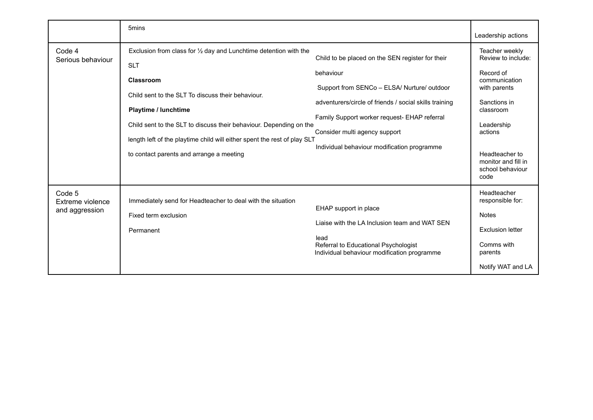|                                              | 5 <sub>mins</sub>                                                                                                                                                                                                                                                                                                                                                                 |                                                                                                                                                                                                                                                                                                        | Leadership actions                                                                                                                                                                                            |
|----------------------------------------------|-----------------------------------------------------------------------------------------------------------------------------------------------------------------------------------------------------------------------------------------------------------------------------------------------------------------------------------------------------------------------------------|--------------------------------------------------------------------------------------------------------------------------------------------------------------------------------------------------------------------------------------------------------------------------------------------------------|---------------------------------------------------------------------------------------------------------------------------------------------------------------------------------------------------------------|
| Code 4<br>Serious behaviour                  | Exclusion from class for $\frac{1}{2}$ day and Lunchtime detention with the<br><b>SLT</b><br>Classroom<br>Child sent to the SLT To discuss their behaviour.<br>Playtime / lunchtime<br>Child sent to the SLT to discuss their behaviour. Depending on the<br>length left of the playtime child will either spent the rest of play SLT<br>to contact parents and arrange a meeting | Child to be placed on the SEN register for their<br>behaviour<br>Support from SENCo - ELSA/ Nurture/ outdoor<br>adventurers/circle of friends / social skills training<br>Family Support worker request- EHAP referral<br>Consider multi agency support<br>Individual behaviour modification programme | Teacher weekly<br>Review to include:<br>Record of<br>communication<br>with parents<br>Sanctions in<br>classroom<br>Leadership<br>actions<br>Headteacher to<br>monitor and fill in<br>school behaviour<br>code |
| Code 5<br>Extreme violence<br>and aggression | Immediately send for Headteacher to deal with the situation<br>Fixed term exclusion<br>Permanent                                                                                                                                                                                                                                                                                  | EHAP support in place<br>Liaise with the LA Inclusion team and WAT SEN<br>lead<br>Referral to Educational Psychologist<br>Individual behaviour modification programme                                                                                                                                  | Headteacher<br>responsible for:<br><b>Notes</b><br><b>Exclusion letter</b><br>Comms with<br>parents<br>Notify WAT and LA                                                                                      |